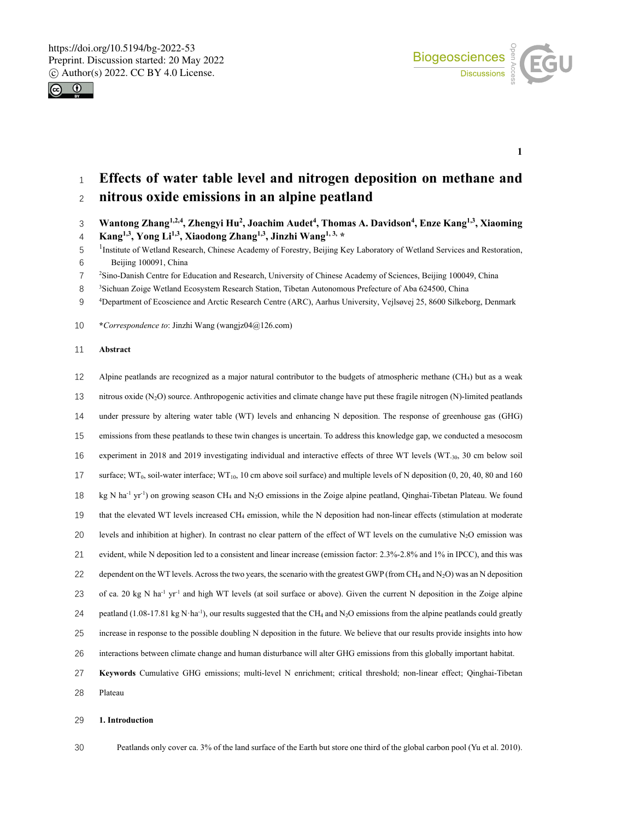



# **Effects of water table level and nitrogen deposition on methane and nitrous oxide emissions in an alpine peatland**

- 3 **Wantong Zhang<sup>1,2,4</sup>, Zhengyi Hu<sup>2</sup>, Joachim Audet<sup>4</sup>, Thomas A. Davidson<sup>4</sup>, Enze Kang<sup>1,3</sup>, Xiaoming**
- **Kang1,3, Yong Li1,3, Xiaodong Zhang1,3, Jinzhi Wang1, 3, \***

- <sup>2</sup> Sino-Danish Centre for Education and Research, University of Chinese Academy of Sciences, Beijing 100049, China
- <sup>3</sup> Sichuan Zoige Wetland Ecosystem Research Station, Tibetan Autonomous Prefecture of Aba 624500, China
- <sup>4</sup> Department of Ecoscience and Arctic Research Centre (ARC), Aarhus University, Vejlsøvej 25, 8600 Silkeborg, Denmark
- **\****Correspondence to*: Jinzhi Wang (wangjz04@126.com)

# **Abstract**

Alpine peatlands are recognized as a major natural contributor to the budgets of atmospheric methane (CH4) but as a weak nitrous oxide (N2O) source. Anthropogenic activities and climate change have put these fragile nitrogen (N)-limited peatlands under pressure by altering water table (WT) levels and enhancing N deposition. The response of greenhouse gas (GHG) emissions from these peatlands to these twin changes is uncertain. To address this knowledge gap, we conducted a mesocosm experiment in 2018 and 2019 investigating individual and interactive effects of three WT levels (WT-30, 30 cm below soil 17 surface; WT<sub>0</sub>, soil-water interface; WT<sub>10</sub>, 10 cm above soil surface) and multiple levels of N deposition (0, 20, 40, 80 and 160 18 kg N ha<sup>-1</sup> yr<sup>-1</sup>) on growing season CH<sub>4</sub> and N<sub>2</sub>O emissions in the Zoige alpine peatland, Qinghai-Tibetan Plateau. We found that the elevated WT levels increased CH4 emission, while the N deposition had non-linear effects (stimulation at moderate 20 levels and inhibition at higher). In contrast no clear pattern of the effect of WT levels on the cumulative  $N_2O$  emission was evident, while N deposition led to a consistent and linear increase (emission factor: 2.3%-2.8% and 1% in IPCC), and this was 22 dependent on the WT levels. Across the two years, the scenario with the greatest GWP (from CH<sub>4</sub> and N<sub>2</sub>O) was an N deposition 23 of ca. 20 kg N ha<sup>-1</sup> yr<sup>-1</sup> and high WT levels (at soil surface or above). Given the current N deposition in the Zoige alpine 24 peatland (1.08-17.81 kg N·ha<sup>-1</sup>), our results suggested that the CH<sub>4</sub> and N<sub>2</sub>O emissions from the alpine peatlands could greatly increase in response to the possible doubling N deposition in the future. We believe that our results provide insights into how interactions between climate change and human disturbance will alter GHG emissions from this globally important habitat. **Keywords** Cumulative GHG emissions; multi-level N enrichment; critical threshold; non-linear effect; Qinghai-Tibetan

Plateau

# **1. Introduction**

Peatlands only cover ca. 3% of the land surface of the Earth but store one third of the global carbon pool (Yu et al. 2010).

<sup>&</sup>lt;sup>1</sup> Institute of Wetland Research, Chinese Academy of Forestry, Beijing Key Laboratory of Wetland Services and Restoration, Beijing 100091, China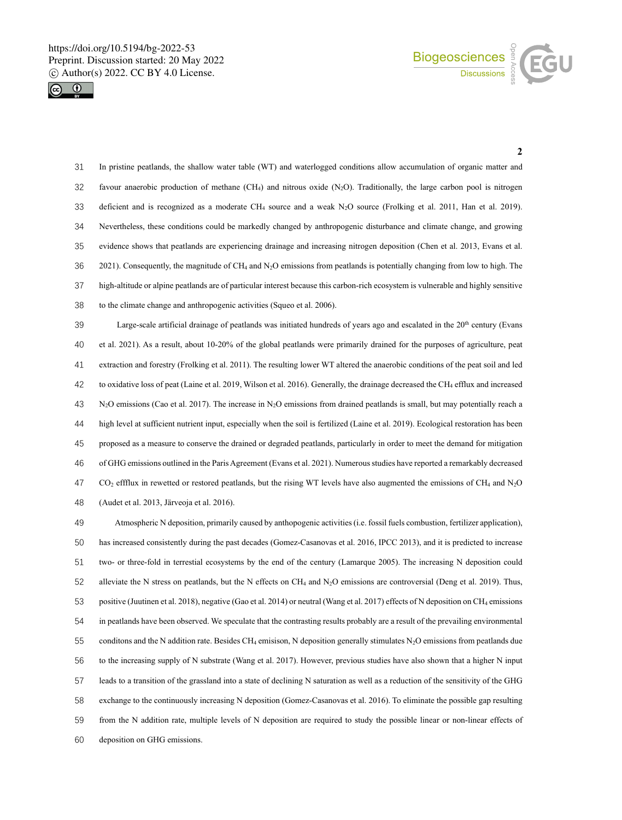



 In pristine peatlands, the shallow water table (WT) and waterlogged conditions allow accumulation of organic matter and favour anaerobic production of methane (CH4) and nitrous oxide (N2O). Traditionally, the large carbon pool is nitrogen 33 deficient and is recognized as a moderate CH<sub>4</sub> source and a weak N<sub>2</sub>O source (Frolking et al. 2011, Han et al. 2019). Nevertheless, these conditions could be markedly changed by anthropogenic disturbance and climate change, and growing evidence shows that peatlands are experiencing drainage and increasing nitrogen deposition (Chen et al. 2013, Evans et al. 2021). Consequently, the magnitude of CH4 and N2O emissions from peatlands is potentially changing from low to high. The high-altitude or alpine peatlands are of particular interest because this carbon-rich ecosystem is vulnerable and highly sensitive to the climate change and anthropogenic activities (Squeo et al. 2006).

139 Large-scale artificial drainage of peatlands was initiated hundreds of years ago and escalated in the  $20<sup>th</sup>$  century (Evans et al. 2021). As a result, about 10-20% of the global peatlands were primarily drained for the purposes of agriculture, peat extraction and forestry (Frolking et al. 2011). The resulting lower WT altered the anaerobic conditions of the peat soil and led to oxidative loss of peat (Laine et al. 2019, Wilson et al. 2016). Generally, the drainage decreased the CH4 efflux and increased N<sub>2</sub>O emissions (Cao et al. 2017). The increase in N<sub>2</sub>O emissions from drained peatlands is small, but may potentially reach a high level at sufficient nutrient input, especially when the soil is fertilized (Laine et al. 2019). Ecological restoration has been proposed as a measure to conserve the drained or degraded peatlands, particularly in order to meet the demand for mitigation of GHG emissions outlined in the Paris Agreement (Evans et al. 2021). Numerous studies have reported a remarkably decreased CO<sub>2</sub> effflux in rewetted or restored peatlands, but the rising WT levels have also augmented the emissions of CH<sub>4</sub> and N<sub>2</sub>O (Audet et al. 2013, Järveoja et al. 2016).

Atmospheric N deposition, primarily caused by anthopogenic activities (i.e. fossil fuels combustion, fertilizer application), has increased consistently during the past decades (Gomez-Casanovas et al. 2016, IPCC 2013), and it is predicted to increase two- or three-fold in terrestial ecosystems by the end of the century (Lamarque 2005). The increasing N deposition could alleviate the N stress on peatlands, but the N effects on CH4 and N2O emissions are controversial (Deng et al. 2019). Thus, positive (Juutinen et al. 2018), negative (Gao et al. 2014) or neutral (Wang et al. 2017) effects of N deposition on CH4 emissions in peatlands have been observed. We speculate that the contrasting results probably are a result of the prevailing environmental 55 conditions and the N addition rate. Besides CH<sub>4</sub> emisison, N deposition generally stimulates N<sub>2</sub>O emissions from peatlands due to the increasing supply of N substrate (Wang et al. 2017). However, previous studies have also shown that a higher N input leads to a transition of the grassland into a state of declining N saturation as well as a reduction of the sensitivity of the GHG exchange to the continuously increasing N deposition (Gomez-Casanovas et al. 2016). To eliminate the possible gap resulting from the N addition rate, multiple levels of N deposition are required to study the possible linear or non-linear effects of deposition on GHG emissions.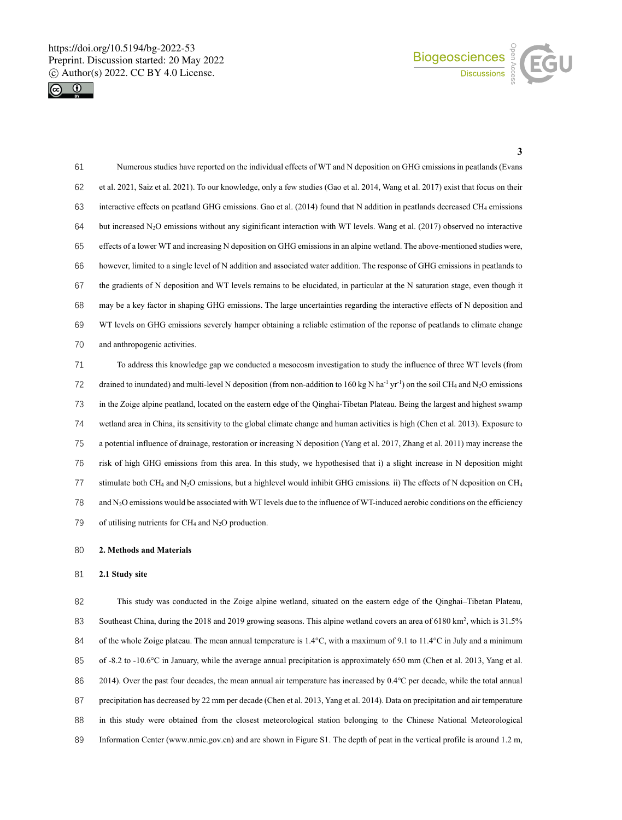



Numerous studies have reported on the individual effects of WT and N deposition on GHG emissions in peatlands (Evans et al. 2021, Saiz et al. 2021). To our knowledge, only a few studies (Gao et al. 2014, Wang et al. 2017) exist that focus on their interactive effects on peatland GHG emissions. Gao et al. (2014) found that N addition in peatlands decreased CH4 emissions 64 but increased N<sub>2</sub>O emissions without any siginificant interaction with WT levels. Wang et al. (2017) observed no interactive effects of a lower WT and increasing N deposition on GHG emissions in an alpine wetland. The above-mentioned studies were, however, limited to a single level of N addition and associated water addition. The response of GHG emissions in peatlands to the gradients of N deposition and WT levels remains to be elucidated, in particular at the N saturation stage, even though it may be a key factor in shaping GHG emissions. The large uncertainties regarding the interactive effects of N deposition and WT levels on GHG emissions severely hamper obtaining a reliable estimation of the reponse of peatlands to climate change and anthropogenic activities. To address this knowledge gap we conducted a mesocosm investigation to study the influence of three WT levels (from

drained to inundated) and multi-level N deposition (from non-addition to  $160 \text{ kg N} \text{ ha}^{-1} \text{ yr}^{-1}$ ) on the soil CH<sub>4</sub> and N<sub>2</sub>O emissions in the Zoige alpine peatland, located on the eastern edge of the Qinghai-Tibetan Plateau. Being the largest and highest swamp wetland area in China, its sensitivity to the global climate change and human activities is high (Chen et al. 2013). Exposure to a potential influence of drainage, restoration or increasing N deposition (Yang et al. 2017, Zhang et al. 2011) may increase the risk of high GHG emissions from this area. In this study, we hypothesised that i) a slight increase in N deposition might 77 stimulate both CH<sub>4</sub> and N<sub>2</sub>O emissions, but a highlevel would inhibit GHG emissions. ii) The effects of N deposition on CH<sub>4</sub> 78 and  $N_2O$  emissions would be associated with WT levels due to the influence of WT-induced aerobic conditions on the efficiency 79 of utilising nutrients for  $CH_4$  and  $N_2O$  production.

#### **2. Methods and Materials**

#### **2.1 Study site**

82 This study was conducted in the Zoige alpine wetland, situated on the eastern edge of the Qinghai–Tibetan Plateau, 83 Southeast China, during the 2018 and 2019 growing seasons. This alpine wetland covers an area of 6180 km<sup>2</sup>, which is 31.5% of the whole Zoige plateau. The mean annual temperature is 1.4°C, with a maximum of 9.1 to 11.4°C in July and a minimum of -8.2 to -10.6°C in January, while the average annual precipitation is approximately 650 mm (Chen et al. 2013, Yang et al. 2014). Over the past four decades, the mean annual air temperature has increased by 0.4℃ per decade, while the total annual precipitation has decreased by 22 mm per decade (Chen et al. 2013, Yang et al. 2014). Data on precipitation and air temperature in this study were obtained from the closest meteorological station belonging to the Chinese National Meteorological Information Center (www.nmic.gov.cn) and are shown in Figure S1. The depth of peat in the vertical profile is around 1.2 m,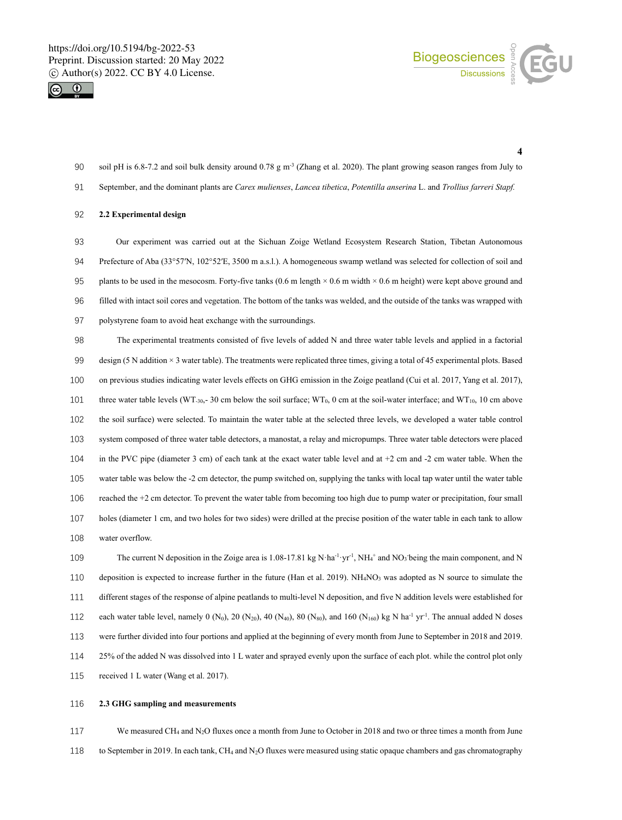



- 90 soil pH is 6.8-7.2 and soil bulk density around 0.78 g m<sup>-3</sup> (Zhang et al. 2020). The plant growing season ranges from July to
- September, and the dominant plants are *Carex mulienses*, *Lancea tibetica*, *Potentilla anserina* L. and *Trollius farreri Stapf.*

# **2.2 Experimental design**

Our experiment was carried out at the Sichuan Zoige Wetland Ecosystem Research Station, Tibetan Autonomous Prefecture of Aba (33°57′N, 102°52′E, 3500 m a.s.l.). A homogeneous swamp wetland was selected for collection of soil and 95 plants to be used in the mesocosm. Forty-five tanks  $(0.6 \text{ m length} \times 0.6 \text{ m width} \times 0.6 \text{ m height})$  were kept above ground and filled with intact soil cores and vegetation. The bottom of the tanks was welded, and the outside of the tanks was wrapped with polystyrene foam to avoid heat exchange with the surroundings.

The experimental treatments consisted of five levels of added N and three water table levels and applied in a factorial design (5 N addition × 3 water table). The treatments were replicated three times, giving a total of 45 experimental plots. Based on previous studies indicating water levels effects on GHG emission in the Zoige peatland (Cui et al. 2017, Yang et al. 2017), 101 three water table levels (WT<sub>-30</sub>,- 30 cm below the soil surface; WT<sub>0</sub>, 0 cm at the soil-water interface; and WT<sub>10</sub>, 10 cm above the soil surface) were selected. To maintain the water table at the selected three levels, we developed a water table control system composed of three water table detectors, a manostat, a relay and micropumps. Three water table detectors were placed in the PVC pipe (diameter 3 cm) of each tank at the exact water table level and at +2 cm and -2 cm water table. When the water table was below the -2 cm detector, the pump switched on, supplying the tanks with local tap water until the water table reached the +2 cm detector. To prevent the water table from becoming too high due to pump water or precipitation, four small holes (diameter 1 cm, and two holes for two sides) were drilled at the precise position of the water table in each tank to allow water overflow.

109 The current N deposition in the Zoige area is 1.08-17.81 kg N·ha<sup>-1</sup>·yr<sup>-1</sup>, NH<sub>4</sub><sup>+</sup> and NO<sub>3</sub>·being the main component, and N deposition is expected to increase further in the future (Han et al. 2019). NH4NO3 was adopted as N source to simulate the different stages of the response of alpine peatlands to multi-level N deposition, and five N addition levels were established for 112 each water table level, namely 0 (N<sub>0</sub>), 20 (N<sub>20</sub>), 40 (N<sub>40</sub>), 80 (N<sub>80</sub>), and 160 (N<sub>160</sub>) kg N ha<sup>-1</sup> yr<sup>-1</sup>. The annual added N doses were further divided into four portions and applied at the beginning of every month from June to September in 2018 and 2019. 25% of the added N was dissolved into 1 L water and sprayed evenly upon the surface of each plot. while the control plot only 115 received 1 L water (Wang et al. 2017).

#### **2.3 GHG sampling and measurements**

117 We measured CH<sub>4</sub> and N<sub>2</sub>O fluxes once a month from June to October in 2018 and two or three times a month from June 118 to September in 2019. In each tank, CH<sub>4</sub> and N<sub>2</sub>O fluxes were measured using static opaque chambers and gas chromatography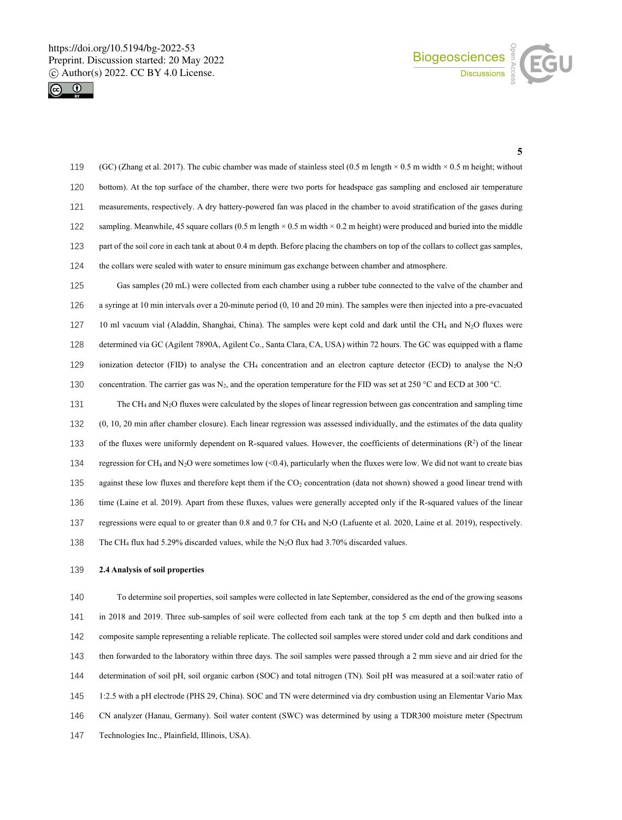



119 (GC) (Zhang et al. 2017). The cubic chamber was made of stainless steel (0.5 m length  $\times$  0.5 m width  $\times$  0.5 m height; without bottom). At the top surface of the chamber, there were two ports for headspace gas sampling and enclosed air temperature measurements, respectively. A dry battery-powered fan was placed in the chamber to avoid stratification of the gases during 122 sampling. Meanwhile, 45 square collars (0.5 m length × 0.5 m width × 0.2 m height) were produced and buried into the middle part of the soil core in each tank at about 0.4 m depth. Before placing the chambers on top of the collars to collect gas samples, the collars were sealed with water to ensure minimum gas exchange between chamber and atmosphere.

Gas samples (20 mL) were collected from each chamber using a rubber tube connected to the valve of the chamber and a syringe at 10 min intervals over a 20-minute period (0, 10 and 20 min). The samples were then injected into a pre-evacuated 127 10 ml vacuum vial (Aladdin, Shanghai, China). The samples were kept cold and dark until the CH<sub>4</sub> and  $N_2O$  fluxes were determined via GC (Agilent 7890A, Agilent Co., Santa Clara, CA, USA) within 72 hours. The GC was equipped with a flame ionization detector (FID) to analyse the CH4 concentration and an electron capture detector (ECD) to analyse the N2O 130 concentration. The carrier gas was N<sub>2</sub>, and the operation temperature for the FID was set at 250 °C and ECD at 300 °C.

131 The CH<sub>4</sub> and N<sub>2</sub>O fluxes were calculated by the slopes of linear regression between gas concentration and sampling time (0, 10, 20 min after chamber closure). Each linear regression was assessed individually, and the estimates of the data quality 133 of the fluxes were uniformly dependent on R-squared values. However, the coefficients of determinations  $(R<sup>2</sup>)$  of the linear 134 regression for CH<sub>4</sub> and N<sub>2</sub>O were sometimes low  $(< 0.4$ ), particularly when the fluxes were low. We did not want to create bias 135 against these low fluxes and therefore kept them if the  $CO<sub>2</sub>$  concentration (data not shown) showed a good linear trend with time (Laine et al. 2019). Apart from these fluxes, values were generally accepted only if the R-squared values of the linear regressions were equal to or greater than 0.8 and 0.7 for CH4 and N2O (Lafuente et al. 2020, Laine et al. 2019), respectively. The CH4 flux had 5.29% discarded values, while the N2O flux had 3.70% discarded values.

#### **2.4 Analysis of soil properties**

To determine soil properties, soil samples were collected in late September, considered as the end of the growing seasons in 2018 and 2019. Three sub-samples of soil were collected from each tank at the top 5 cm depth and then bulked into a composite sample representing a reliable replicate. The collected soil samples were stored under cold and dark conditions and then forwarded to the laboratory within three days. The soil samples were passed through a 2 mm sieve and air dried for the determination of soil pH, soil organic carbon (SOC) and total nitrogen (TN). Soil pH was measured at a soil:water ratio of 1:2.5 with a pH electrode (PHS 29, China). SOC and TN were determined via dry combustion using an Elementar Vario Max CN analyzer (Hanau, Germany). Soil water content (SWC) was determined by using a TDR300 moisture meter (Spectrum Technologies Inc., Plainfield, Illinois, USA).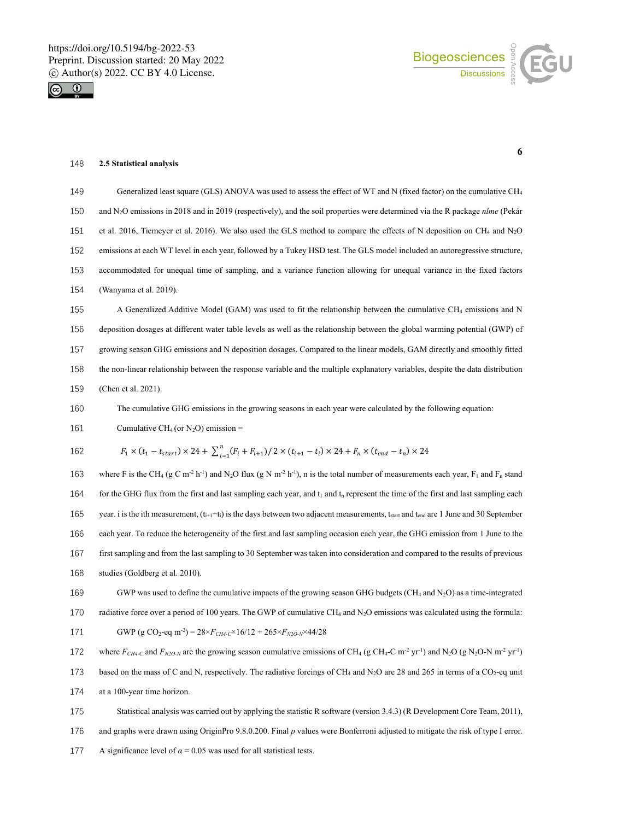



**6**

# 148 **2.5 Statistical analysis**

| 149 | Generalized least square (GLS) ANOVA was used to assess the effect of WT and N (fixed factor) on the cumulative $CH_4$                                                                                                                  |
|-----|-----------------------------------------------------------------------------------------------------------------------------------------------------------------------------------------------------------------------------------------|
| 150 | and N <sub>2</sub> O emissions in 2018 and in 2019 (respectively), and the soil properties were determined via the R package nlme (Pekár                                                                                                |
| 151 | et al. 2016, Tiemeyer et al. 2016). We also used the GLS method to compare the effects of N deposition on CH <sub>4</sub> and N <sub>2</sub> O                                                                                          |
| 152 | emissions at each WT level in each year, followed by a Tukey HSD test. The GLS model included an autoregressive structure,                                                                                                              |
| 153 | accommodated for unequal time of sampling, and a variance function allowing for unequal variance in the fixed factors                                                                                                                   |
| 154 | (Wanyama et al. 2019).                                                                                                                                                                                                                  |
| 155 | A Generalized Additive Model (GAM) was used to fit the relationship between the cumulative CH <sub>4</sub> emissions and N                                                                                                              |
| 156 | deposition dosages at different water table levels as well as the relationship between the global warming potential (GWP) of                                                                                                            |
| 157 | growing season GHG emissions and N deposition dosages. Compared to the linear models, GAM directly and smoothly fitted                                                                                                                  |
| 158 | the non-linear relationship between the response variable and the multiple explanatory variables, despite the data distribution                                                                                                         |
| 159 | (Chen et al. 2021).                                                                                                                                                                                                                     |
| 160 | The cumulative GHG emissions in the growing seasons in each year were calculated by the following equation:                                                                                                                             |
| 161 | Cumulative CH <sub>4</sub> (or N <sub>2</sub> O) emission =                                                                                                                                                                             |
| 162 | $F_1 \times (t_1 - t_{start}) \times 24 + \sum_{i=1}^{n} (F_i + F_{i+1}) / 2 \times (t_{i+1} - t_i) \times 24 + F_n \times (t_{end} - t_n) \times 24$                                                                                   |
| 163 | where F is the CH <sub>4</sub> (g C m <sup>-2</sup> h <sup>-1</sup> ) and N <sub>2</sub> O flux (g N m <sup>-2</sup> h <sup>-1</sup> ), n is the total number of measurements each year, F <sub>1</sub> and F <sub>n</sub> stand        |
| 164 | for the GHG flux from the first and last sampling each year, and $t_1$ and $t_n$ represent the time of the first and last sampling each                                                                                                 |
| 165 | year. i is the ith measurement, $(t_{i+1}-t_i)$ is the days between two adjacent measurements, $t_{start}$ and $t_{end}$ are 1 June and 30 September                                                                                    |
| 166 | each year. To reduce the heterogeneity of the first and last sampling occasion each year, the GHG emission from 1 June to the                                                                                                           |
| 167 | first sampling and from the last sampling to 30 September was taken into consideration and compared to the results of previous                                                                                                          |
| 168 | studies (Goldberg et al. 2010).                                                                                                                                                                                                         |
| 169 | GWP was used to define the cumulative impacts of the growing season GHG budgets (CH <sub>4</sub> and $N_2O$ ) as a time-integrated                                                                                                      |
| 170 | radiative force over a period of 100 years. The GWP of cumulative CH <sub>4</sub> and N <sub>2</sub> O emissions was calculated using the formula:                                                                                      |
| 171 | GWP (g CO <sub>2</sub> -eq m <sup>-2</sup> ) = $28 \times F_{CH4-C} \times 16/12 + 265 \times F_{N2O-N} \times 44/28$                                                                                                                   |
| 172 | where $F_{CH4-C}$ and $F_{N2O-N}$ are the growing season cumulative emissions of CH <sub>4</sub> (g CH <sub>4</sub> -C m <sup>-2</sup> yr <sup>-1</sup> ) and N <sub>2</sub> O (g N <sub>2</sub> O-N m <sup>-2</sup> yr <sup>-1</sup> ) |
| 173 | based on the mass of C and N, respectively. The radiative forcings of CH <sub>4</sub> and N <sub>2</sub> O are 28 and 265 in terms of a CO <sub>2</sub> -eq unit                                                                        |
| 174 | at a 100-year time horizon.                                                                                                                                                                                                             |
| 175 | Statistical analysis was carried out by applying the statistic R software (version 3.4.3) (R Development Core Team, 2011),                                                                                                              |
| 176 | and graphs were drawn using OriginPro 9.8.0.200. Final p values were Bonferroni adjusted to mitigate the risk of type I error.                                                                                                          |
| 177 | A significance level of $\alpha$ = 0.05 was used for all statistical tests.                                                                                                                                                             |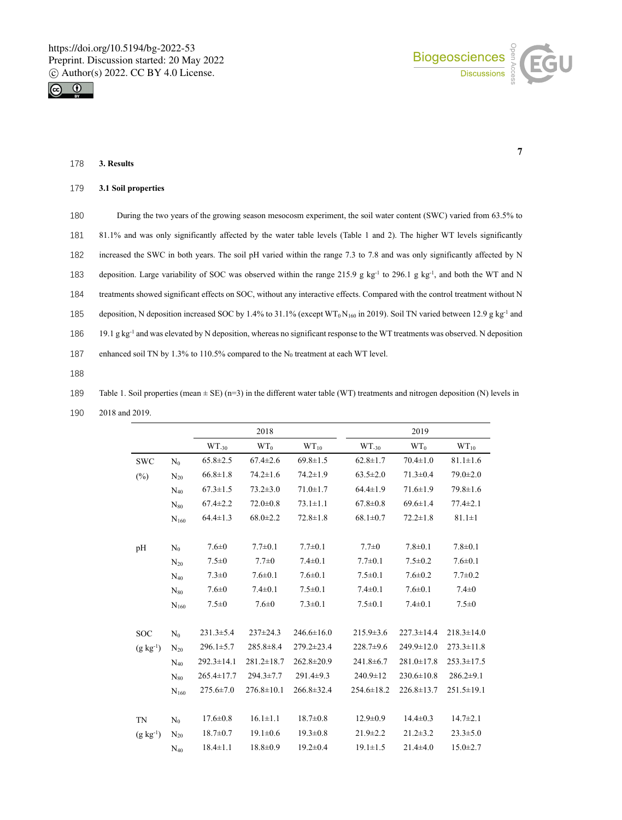



**7**

# 178 **3. Results**

# 179 **3.1 Soil properties**

180 During the two years of the growing season mesocosm experiment, the soil water content (SWC) varied from 63.5% to 181 81.1% and was only significantly affected by the water table levels (Table 1 and 2). The higher WT levels significantly 182 increased the SWC in both years. The soil pH varied within the range 7.3 to 7.8 and was only significantly affected by N 183 deposition. Large variability of SOC was observed within the range 215.9 g kg<sup>-1</sup> to 296.1 g kg<sup>-1</sup>, and both the WT and N 184 treatments showed significant effects on SOC, without any interactive effects. Compared with the control treatment without N 185 deposition, N deposition increased SOC by 1.4% to 31.1% (except  $WT_0N_{160}$  in 2019). Soil TN varied between 12.9 g kg<sup>-1</sup> and 186 19.1 g kg<sup>-1</sup> and was elevated by N deposition, whereas no significant response to the WT treatments was observed. N deposition 187 enhanced soil TN by 1.3% to 110.5% compared to the  $N_0$  treatment at each WT level.

188

189 Table 1. Soil properties (mean  $\pm$  SE) (n=3) in the different water table (WT) treatments and nitrogen deposition (N) levels in

|           |                  | 2018             |                  |                  | 2019             |                  |
|-----------|------------------|------------------|------------------|------------------|------------------|------------------|
|           | $WT_{-30}$       | $WT_0$           | $WT_{10}$        | $WT_{-30}$       | $WT_0$           | $WT_{10}$        |
| $N_0$     | $65.8 \pm 2.5$   | $67.4 \pm 2.6$   | $69.8 \pm 1.5$   | $62.8 \pm 1.7$   | $70.4 \pm 1.0$   | $81.1 \pm 1.6$   |
| $N_{20}$  | $66.8 \pm 1.8$   | $74.2 \pm 1.6$   | $74.2 \pm 1.9$   | $63.5 \pm 2.0$   | $71.3 \pm 0.4$   | $79.0 \pm 2.0$   |
| $N_{40}$  | $67.3 \pm 1.5$   | $73.2 \pm 3.0$   | $71.0 \pm 1.7$   | $64.4 \pm 1.9$   | $71.6 \pm 1.9$   | $79.8 \pm 1.6$   |
| $N_{80}$  | $67.4 \pm 2.2$   | $72.0 \pm 0.8$   | $73.1 \pm 1.1$   | $67.8 \pm 0.8$   | $69.6 \pm 1.4$   | $77.4 \pm 2.1$   |
| $N_{160}$ | $64.4 \pm 1.3$   | $68.0 \pm 2.2$   | $72.8 \pm 1.8$   | $68.1 \pm 0.7$   | $72.2 \pm 1.8$   | $81.1 \pm 1$     |
| $N_0$     | $7.6 \pm 0$      | $7.7 \pm 0.1$    | $7.7 \pm 0.1$    | $7.7 \pm 0$      | $7.8 \pm 0.1$    | $7.8 \pm 0.1$    |
| $N_{20}$  | $7.5 \pm 0$      | $7.7 + 0$        | $7.4 \pm 0.1$    | $7.7 \pm 0.1$    | $7.5 \pm 0.2$    | $7.6 \pm 0.1$    |
| $N_{40}$  | $7.3 \pm 0$      | $7.6 \pm 0.1$    | $7.6 \pm 0.1$    | $7.5 \pm 0.1$    | $7.6 \pm 0.2$    | $7.7 \pm 0.2$    |
| $N_{80}$  | $7.6 \pm 0$      | $7.4 \pm 0.1$    | $7.5 \pm 0.1$    | $7.4 \pm 0.1$    | $7.6 \pm 0.1$    | $7.4 \pm 0$      |
| $N_{160}$ | $7.5 \pm 0$      | $7.6 \pm 0$      | $7.3 \pm 0.1$    | $7.5 \pm 0.1$    | $7.4 \pm 0.1$    | $7.5 \pm 0$      |
| $N_0$     | $231.3 \pm 5.4$  | $237 \pm 24.3$   | $246.6 \pm 16.0$ | $215.9 \pm 3.6$  | $227.3 \pm 14.4$ | $218.3 \pm 14.0$ |
| $N_{20}$  | $296.1 \pm 5.7$  | $285.8 \pm 8.4$  | 279.2±23.4       | $228.7 \pm 9.6$  | $249.9 \pm 12.0$ | $273.3 \pm 11.8$ |
| $N_{40}$  | $292.3 \pm 14.1$ | $281.2 \pm 18.7$ | $262.8 \pm 20.9$ | 241.8±6.7        | $281.0 \pm 17.8$ | $253.3 \pm 17.5$ |
| $N_{80}$  | $265.4 \pm 17.7$ | $294.3 \pm 7.7$  | $291.4 \pm 9.3$  | $240.9 \pm 12$   | $230.6 \pm 10.8$ | $286.2 \pm 9.1$  |
| $N_{160}$ | $275.6 \pm 7.0$  | $276.8 \pm 10.1$ | $266.8 \pm 32.4$ | $254.6 \pm 18.2$ | $226.8 \pm 13.7$ | $251.5 \pm 19.1$ |
| $N_0$     | $17.6 \pm 0.8$   | $16.1 \pm 1.1$   | $18.7 \pm 0.8$   | $12.9 \pm 0.9$   | $14.4 \pm 0.3$   | $14.7 \pm 2.1$   |
| $N_{20}$  | $18.7 \pm 0.7$   | $19.1 \pm 0.6$   | $19.3 \pm 0.8$   | $21.9 \pm 2.2$   | $21.2 \pm 3.2$   | $23.3 \pm 5.0$   |
| $N_{40}$  | $18.4 \pm 1.1$   | $18.8 \pm 0.9$   | $19.2 \pm 0.4$   | $19.1 \pm 1.5$   | $21.4 \pm 4.0$   | $15.0 \pm 2.7$   |
|           |                  |                  |                  |                  |                  |                  |

190 2018 and 2019.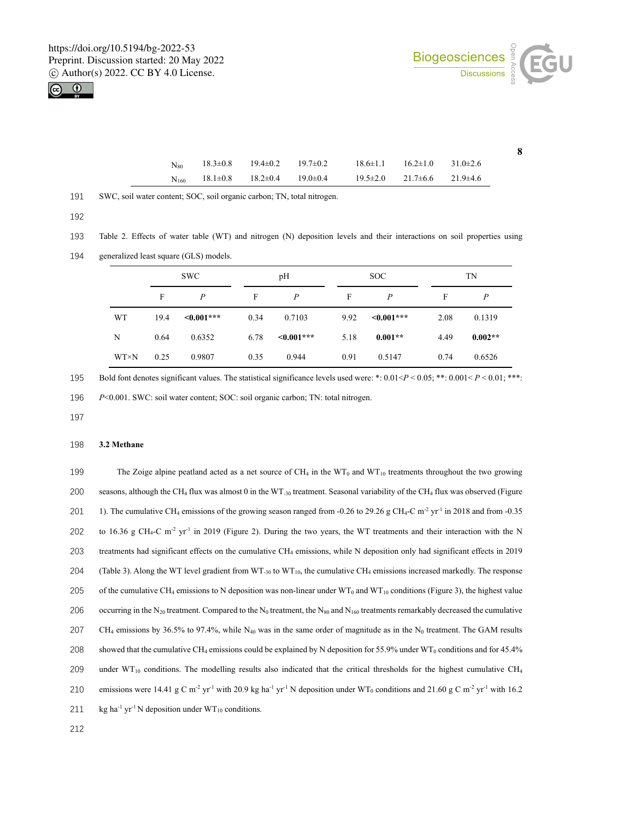



**8**

| $N_{80}$ |                    | $18.3 \pm 0.8$ $19.4 \pm 0.2$ $19.7 \pm 0.2$ | $18.6 \pm 1.1$ $16.2 \pm 1.0$ | $31.0 \pm 2.6$ |  |
|----------|--------------------|----------------------------------------------|-------------------------------|----------------|--|
|          | $N_{160}$ 18.1±0.8 | $18.2 \pm 0.4$ $19.0 \pm 0.4$                | $19.5 \pm 2.0$ $21.7 \pm 6.6$ | $21.9 \pm 4.6$ |  |

191 SWC, soil water content; SOC, soil organic carbon; TN, total nitrogen.

193 Table 2. Effects of water table (WT) and nitrogen (N) deposition levels and their interactions on soil properties using

<sup>194</sup> generalized least square (GLS) models.

|               | <b>SWC</b> |                  |      | pH               |  |      | SOC.             |      | TN        |  |  |
|---------------|------------|------------------|------|------------------|--|------|------------------|------|-----------|--|--|
|               | F          | P                | F    | P                |  | F    | P                | F    | P         |  |  |
| <b>WT</b>     | 19.4       | $\leq 0.001$ *** | 0.34 | 0.7103           |  | 9.92 | $\leq 0.001$ *** | 2.08 | 0.1319    |  |  |
| N             | 0.64       | 0.6352           | 6.78 | $\leq 0.001$ *** |  | 5.18 | $0.001**$        | 4.49 | $0.002**$ |  |  |
| $WT \times N$ | 0.25       | 0.9807           | 0.35 | 0.944            |  | 0.91 | 0.5147           | 0.74 | 0.6526    |  |  |

195 Bold font denotes significant values. The statistical significance levels used were: \*: 0.01< $P < 0.05$ ; \*\*: 0.001< $P < 0.01$ ; \*\*\*:

196 *P*<0.001. SWC: soil water content; SOC: soil organic carbon; TN: total nitrogen.

197

# 198 **3.2 Methane**

199 The Zoige alpine peatland acted as a net source of CH<sub>4</sub> in the WT<sub>0</sub> and WT<sub>10</sub> treatments throughout the two growing 200 seasons, although the CH4 flux was almost 0 in the WT-30 treatment. Seasonal variability of the CH4 flux was observed (Figure 201 1). The cumulative CH<sub>4</sub> emissions of the growing season ranged from -0.26 to 29.26 g CH<sub>4</sub>-C m<sup>-2</sup> yr<sup>-1</sup> in 2018 and from -0.35 202 to 16.36 g CH<sub>4</sub>-C m<sup>-2</sup> yr<sup>-1</sup> in 2019 (Figure 2). During the two years, the WT treatments and their interaction with the N 203 treatments had significant effects on the cumulative CH4 emissions, while N deposition only had significant effects in 2019 204 (Table 3). Along the WT level gradient from WT-30 to WT10, the cumulative CH4 emissions increased markedly. The response 205 of the cumulative CH<sub>4</sub> emissions to N deposition was non-linear under WT<sub>0</sub> and WT<sub>10</sub> conditions (Figure 3), the highest value 206 occurring in the N<sub>20</sub> treatment. Compared to the N<sub>0</sub> treatment, the N<sub>80</sub> and N<sub>160</sub> treatments remarkably decreased the cumulative 207 CH<sub>4</sub> emissions by 36.5% to 97.4%, while N<sub>40</sub> was in the same order of magnitude as in the N<sub>0</sub> treatment. The GAM results 208 showed that the cumulative CH<sub>4</sub> emissions could be explained by N deposition for 55.9% under WT<sub>0</sub> conditions and for 45.4% 209 under WT<sub>10</sub> conditions. The modelling results also indicated that the critical thresholds for the highest cumulative CH<sub>4</sub> 210 emissions were 14.41 g C m<sup>-2</sup> yr<sup>-1</sup> with 20.9 kg ha<sup>-1</sup> yr<sup>-1</sup> N deposition under WT<sub>0</sub> conditions and 21.60 g C m<sup>-2</sup> yr<sup>-1</sup> with 16.2 211 - kg ha<sup>-1</sup> yr<sup>-1</sup> N deposition under WT<sub>10</sub> conditions.

<sup>192</sup>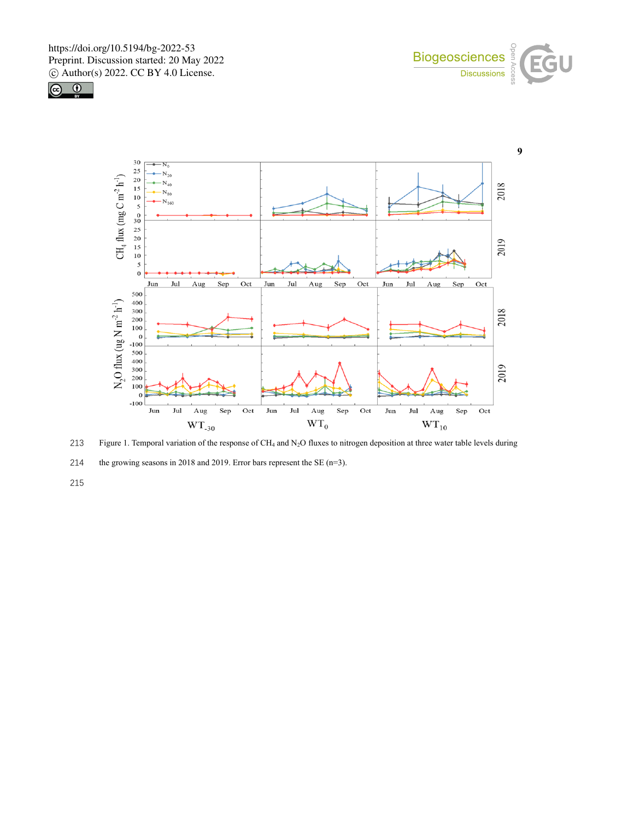





213 Figure 1. Temporal variation of the response of CH4 and N2O fluxes to nitrogen deposition at three water table levels during

214 the growing seasons in 2018 and 2019. Error bars represent the SE (n=3).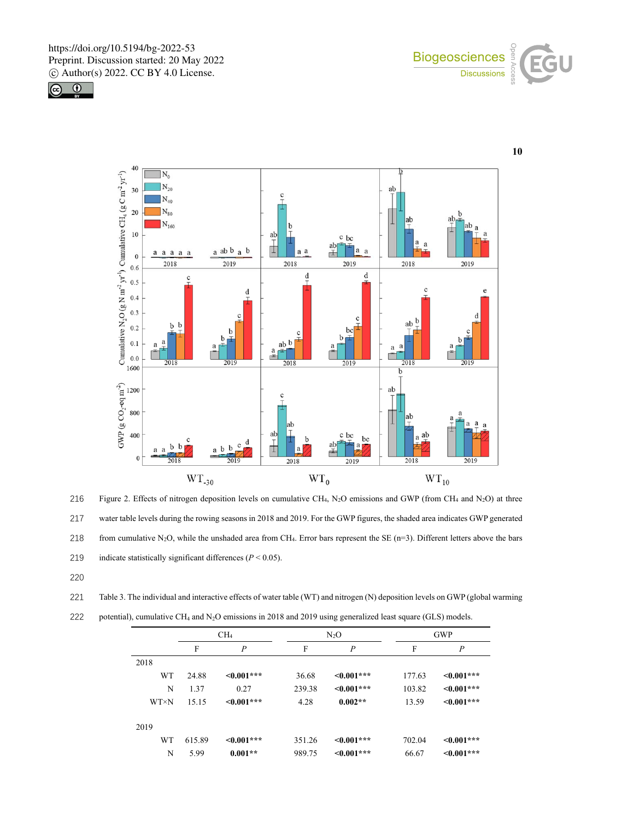





216 Figure 2. Effects of nitrogen deposition levels on cumulative CH<sub>4</sub>, N<sub>2</sub>O emissions and GWP (from CH<sub>4</sub> and N<sub>2</sub>O) at three 217 water table levels during the rowing seasons in 2018 and 2019. For the GWP figures, the shaded area indicates GWP generated 218 from cumulative N<sub>2</sub>O, while the unshaded area from CH<sub>4</sub>. Error bars represent the SE (n=3). Different letters above the bars 219 indicate statistically significant differences (*P* < 0.05).

220

221 Table 3. The individual and interactive effects of water table (WT) and nitrogen (N) deposition levels on GWP (global warming

|  |  |  | 222 potential), cumulative CH <sub>4</sub> and N <sub>2</sub> O emissions in 2018 and 2019 using generalized least square (GLS) models. |  |  |
|--|--|--|-----------------------------------------------------------------------------------------------------------------------------------------|--|--|
|  |  |  |                                                                                                                                         |  |  |

|             |        | CH <sub>4</sub>  |        | $N_2O$           |        | <b>GWP</b>       |  |  |
|-------------|--------|------------------|--------|------------------|--------|------------------|--|--|
|             | F      | P                | F      | $\boldsymbol{P}$ | F      | P                |  |  |
| 2018        |        |                  |        |                  |        |                  |  |  |
| <b>WT</b>   | 24.88  | $\leq 0.001$ *** | 36.68  | $\leq 0.001***$  | 177.63 | $\leq 0.001$ *** |  |  |
| N           | 1.37   | 0.27             | 239.38 | $\leq 0.001$ *** | 103.82 | $\leq 0.001$ *** |  |  |
| <b>WT×N</b> | 15.15  | $\leq 0.001$ *** | 4.28   | $0.002**$        | 13.59  | $\leq 0.001$ *** |  |  |
| 2019        |        |                  |        |                  |        |                  |  |  |
| WT          | 615.89 | $\leq 0.001$ *** | 351.26 | $\leq 0.001$ *** | 702.04 | $\leq 0.001$ *** |  |  |
| N           | 5.99   | $0.001**$        | 989.75 | $\leq 0.001$ *** | 66.67  | $\leq 0.001$ *** |  |  |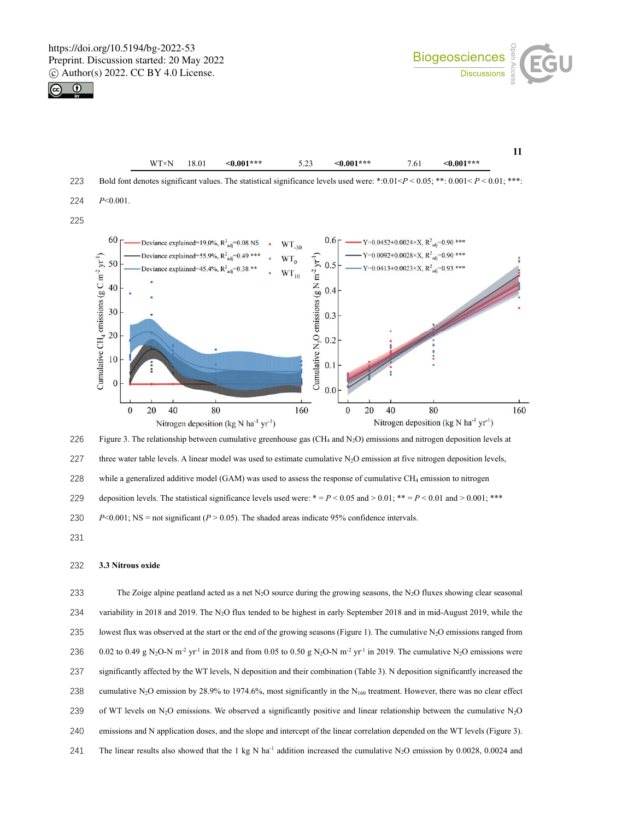

| $WT \times N$ 18.01 | $\leq 0.001***$ | 5.23 | $\leq 0.001***$ | 7.61 | $\leq 0.001***$ |  |
|---------------------|-----------------|------|-----------------|------|-----------------|--|

223 Bold font denotes significant values. The statistical significance levels used were: \*:0.01<*P* < 0.05; \*\*: 0.001< *P* < 0.01; \*\*\*:

224 *P*<0.001.

225



226 Figure 3. The relationship between cumulative greenhouse gas (CH<sub>4</sub> and N<sub>2</sub>O) emissions and nitrogen deposition levels at 227 three water table levels. A linear model was used to estimate cumulative  $N_2O$  emission at five nitrogen deposition levels, 228 while a generalized additive model (GAM) was used to assess the response of cumulative CH<sub>4</sub> emission to nitrogen

229 deposition levels. The statistical significance levels used were:  $* = P < 0.05$  and  $> 0.01$ ;  $* = P < 0.01$  and  $> 0.001$ ;  $* * *$ 

230 *P*<0.001; NS = not significant (*P* > 0.05). The shaded areas indicate 95% confidence intervals.

231

#### 232 **3.3 Nitrous oxide**

233 The Zoige alpine peatland acted as a net N<sub>2</sub>O source during the growing seasons, the N<sub>2</sub>O fluxes showing clear seasonal 234 variability in 2018 and 2019. The N<sub>2</sub>O flux tended to be highest in early September 2018 and in mid-August 2019, while the 235 lowest flux was observed at the start or the end of the growing seasons (Figure 1). The cumulative N<sub>2</sub>O emissions ranged from 236 0.02 to 0.49 g N<sub>2</sub>O-N m<sup>-2</sup> yr<sup>-1</sup> in 2018 and from 0.05 to 0.50 g N<sub>2</sub>O-N m<sup>-2</sup> yr<sup>-1</sup> in 2019. The cumulative N<sub>2</sub>O emissions were 237 significantly affected by the WT levels, N deposition and their combination (Table 3). N deposition significantly increased the 238 cumulative N<sub>2</sub>O emission by 28.9% to 1974.6%, most significantly in the N<sub>160</sub> treatment. However, there was no clear effect 239 of WT levels on N2O emissions. We observed a significantly positive and linear relationship between the cumulative N2O 240 emissions and N application doses, and the slope and intercept of the linear correlation depended on the WT levels (Figure 3). 241 The linear results also showed that the 1 kg N ha<sup>-1</sup> addition increased the cumulative N<sub>2</sub>O emission by 0.0028, 0.0024 and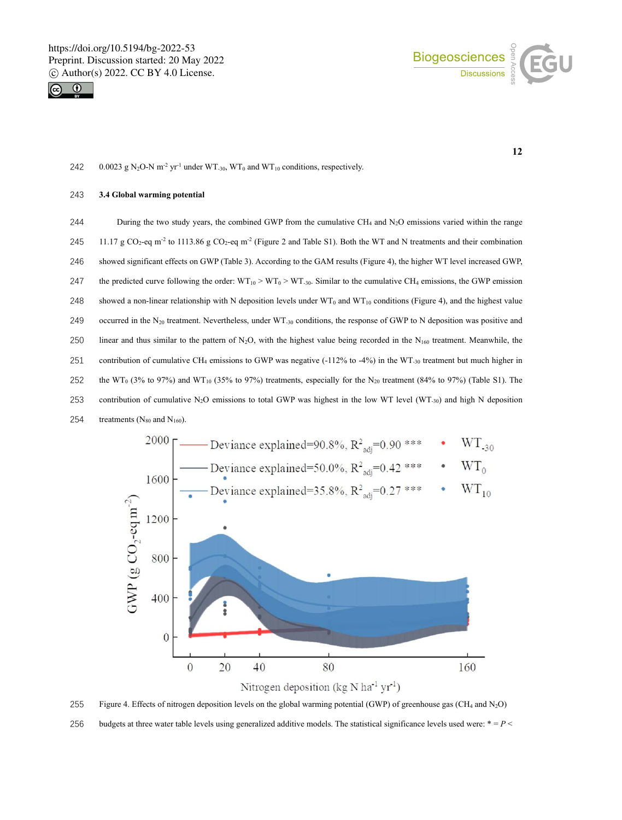



**12**

242 0.0023 g N<sub>2</sub>O-N m<sup>-2</sup> yr<sup>-1</sup> under WT<sub>-30</sub>, WT<sub>0</sub> and WT<sub>10</sub> conditions, respectively.

#### 243 **3.4 Global warming potential**

244 During the two study years, the combined GWP from the cumulative  $CH_4$  and  $N_2O$  emissions varied within the range 245 11.17 g CO<sub>2</sub>-eq m<sup>-2</sup> to 1113.86 g CO<sub>2</sub>-eq m<sup>-2</sup> (Figure 2 and Table S1). Both the WT and N treatments and their combination 246 showed significant effects on GWP (Table 3). According to the GAM results (Figure 4), the higher WT level increased GWP, 247 the predicted curve following the order:  $WT_{10} > WT_0 > WT_{30}$ . Similar to the cumulative CH<sub>4</sub> emissions, the GWP emission 248 showed a non-linear relationship with N deposition levels under  $WT_0$  and  $WT_10$  conditions (Figure 4), and the highest value 249 occurred in the N<sub>20</sub> treatment. Nevertheless, under WT<sub>-30</sub> conditions, the response of GWP to N deposition was positive and 250 linear and thus similar to the pattern of N<sub>2</sub>O, with the highest value being recorded in the N<sub>160</sub> treatment. Meanwhile, the 251 contribution of cumulative CH4 emissions to GWP was negative (-112% to -4%) in the WT-30 treatment but much higher in 252 the WT<sub>0</sub> (3% to 97%) and WT<sub>10</sub> (35% to 97%) treatments, especially for the N<sub>20</sub> treatment (84% to 97%) (Table S1). The 253 contribution of cumulative N<sub>2</sub>O emissions to total GWP was highest in the low WT level (WT<sub>-30</sub>) and high N deposition 254 treatments  $(N_{80}$  and  $N_{160})$ .



255 Figure 4. Effects of nitrogen deposition levels on the global warming potential (GWP) of greenhouse gas (CH4 and N2O)

256 budgets at three water table levels using generalized additive models. The statistical significance levels used were:  $* = P <$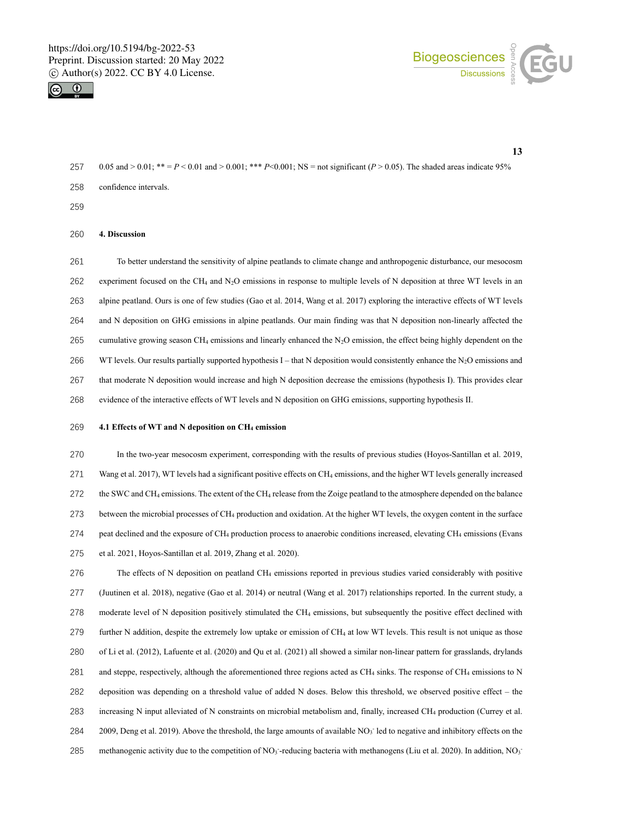



| 257 | $0.05$ and $> 0.01$ ; ** = $P < 0.01$ and $> 0.001$ ; ** $P < 0.001$ ; NS = not significant ( $P > 0.05$ ). The shaded areas indicate 95% |
|-----|-------------------------------------------------------------------------------------------------------------------------------------------|
| 258 | confidence intervals.                                                                                                                     |

**4. Discussion** 

To better understand the sensitivity of alpine peatlands to climate change and anthropogenic disturbance, our mesocosm 262 experiment focused on the CH<sub>4</sub> and N<sub>2</sub>O emissions in response to multiple levels of N deposition at three WT levels in an alpine peatland. Ours is one of few studies (Gao et al. 2014, Wang et al. 2017) exploring the interactive effects of WT levels and N deposition on GHG emissions in alpine peatlands. Our main finding was that N deposition non-linearly affected the 265 cumulative growing season CH<sub>4</sub> emissions and linearly enhanced the N<sub>2</sub>O emission, the effect being highly dependent on the 266 WT levels. Our results partially supported hypothesis I – that N deposition would consistently enhance the N<sub>2</sub>O emissions and that moderate N deposition would increase and high N deposition decrease the emissions (hypothesis I). This provides clear evidence of the interactive effects of WT levels and N deposition on GHG emissions, supporting hypothesis II.

# **4.1 Effects of WT and N deposition on CH4 emission**

In the two-year mesocosm experiment, corresponding with the results of previous studies (Hoyos-Santillan et al. 2019, 271 Wang et al. 2017), WT levels had a significant positive effects on CH<sub>4</sub> emissions, and the higher WT levels generally increased the SWC and CH4 emissions. The extent of the CH4 release from the Zoige peatland to the atmosphere depended on the balance between the microbial processes of CH4 production and oxidation. At the higher WT levels, the oxygen content in the surface peat declined and the exposure of CH4 production process to anaerobic conditions increased, elevating CH4 emissions (Evans et al. 2021, Hoyos-Santillan et al. 2019, Zhang et al. 2020).

The effects of N deposition on peatland CH4 emissions reported in previous studies varied considerably with positive (Juutinen et al. 2018), negative (Gao et al. 2014) or neutral (Wang et al. 2017) relationships reported. In the current study, a 278 moderate level of N deposition positively stimulated the CH<sub>4</sub> emissions, but subsequently the positive effect declined with further N addition, despite the extremely low uptake or emission of CH4 at low WT levels. This result is not unique as those of Li et al. (2012), Lafuente et al. (2020) and Qu et al. (2021) all showed a similar non-linear pattern for grasslands, drylands 281 and steppe, respectively, although the aforementioned three regions acted as CH<sub>4</sub> sinks. The response of CH<sub>4</sub> emissions to N deposition was depending on a threshold value of added N doses. Below this threshold, we observed positive effect – the increasing N input alleviated of N constraints on microbial metabolism and, finally, increased CH4 production (Currey et al. 284 2009, Deng et al. 2019). Above the threshold, the large amounts of available  $NO<sub>3</sub>$  led to negative and inhibitory effects on the 285 methanogenic activity due to the competition of NO<sub>3</sub>-reducing bacteria with methanogens (Liu et al. 2020). In addition, NO<sub>3</sub>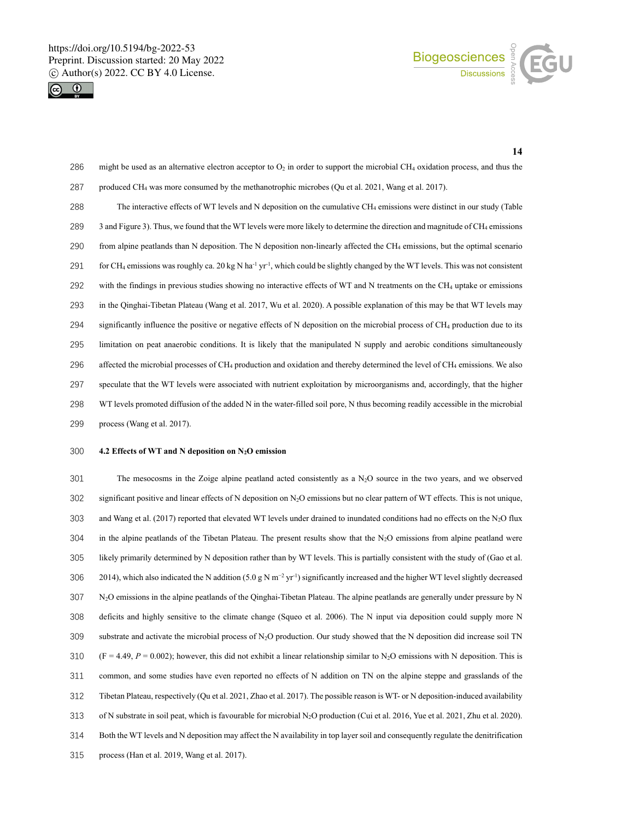



286 might be used as an alternative electron acceptor to  $O_2$  in order to support the microbial CH<sub>4</sub> oxidation process, and thus the produced CH4 was more consumed by the methanotrophic microbes (Qu et al. 2021, Wang et al. 2017). 288 The interactive effects of WT levels and N deposition on the cumulative CH<sub>4</sub> emissions were distinct in our study (Table 289 3 and Figure 3). Thus, we found that the WT levels were more likely to determine the direction and magnitude of CH<sub>4</sub> emissions from alpine peatlands than N deposition. The N deposition non-linearly affected the CH4 emissions, but the optimal scenario 291 for CH<sub>4</sub> emissions was roughly ca. 20 kg N ha<sup>-1</sup> yr<sup>-1</sup>, which could be slightly changed by the WT levels. This was not consistent with the findings in previous studies showing no interactive effects of WT and N treatments on the CH4 uptake or emissions in the Qinghai-Tibetan Plateau (Wang et al. 2017, Wu et al. 2020). A possible explanation of this may be that WT levels may 294 significantly influence the positive or negative effects of N deposition on the microbial process of  $CH_4$  production due to its limitation on peat anaerobic conditions. It is likely that the manipulated N supply and aerobic conditions simultaneously affected the microbial processes of CH4 production and oxidation and thereby determined the level of CH4 emissions. We also speculate that the WT levels were associated with nutrient exploitation by microorganisms and, accordingly, that the higher WT levels promoted diffusion of the added N in the water-filled soil pore, N thus becoming readily accessible in the microbial process (Wang et al. 2017).

# **4.2 Effects of WT and N deposition on N2O emission**

301 The mesocosms in the Zoige alpine peatland acted consistently as a  $N_2O$  source in the two years, and we observed significant positive and linear effects of N deposition on N2O emissions but no clear pattern of WT effects. This is not unique, 303 and Wang et al. (2017) reported that elevated WT levels under drained to inundated conditions had no effects on the N<sub>2</sub>O flux in the alpine peatlands of the Tibetan Plateau. The present results show that the N<sub>2</sub>O emissions from alpine peatland were likely primarily determined by N deposition rather than by WT levels. This is partially consistent with the study of (Gao et al. 2014), which also indicated the N addition (5.0 g N m<sup>-2</sup> yr<sup>-1</sup>) significantly increased and the higher WT level slightly decreased N2O emissions in the alpine peatlands of the Qinghai-Tibetan Plateau. The alpine peatlands are generally under pressure by N deficits and highly sensitive to the climate change (Squeo et al. 2006). The N input via deposition could supply more N substrate and activate the microbial process of N2O production. Our study showed that the N deposition did increase soil TN 310 (F = 4.49,  $P = 0.002$ ); however, this did not exhibit a linear relationship similar to N<sub>2</sub>O emissions with N deposition. This is common, and some studies have even reported no effects of N addition on TN on the alpine steppe and grasslands of the Tibetan Plateau, respectively (Qu et al. 2021, Zhao et al. 2017). The possible reason is WT- or N deposition-induced availability of N substrate in soil peat, which is favourable for microbial N2O production (Cui et al. 2016, Yue et al. 2021, Zhu et al. 2020). Both the WT levels and N deposition may affect the N availability in top layer soil and consequently regulate the denitrification process (Han et al. 2019, Wang et al. 2017).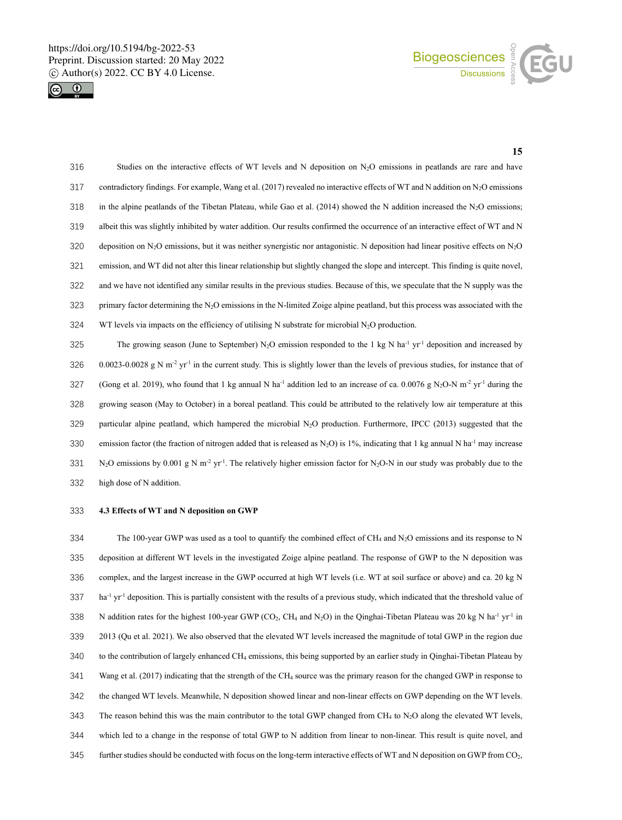



**15**

316 Studies on the interactive effects of WT levels and N deposition on  $N_2O$  emissions in peatlands are rare and have 317 contradictory findings. For example, Wang et al. (2017) revealed no interactive effects of WT and N addition on N2O emissions 318 in the alpine peatlands of the Tibetan Plateau, while Gao et al. (2014) showed the N addition increased the N<sub>2</sub>O emissions; 319 albeit this was slightly inhibited by water addition. Our results confirmed the occurrence of an interactive effect of WT and N 320 deposition on N2O emissions, but it was neither synergistic nor antagonistic. N deposition had linear positive effects on N2O 321 emission, and WT did not alter this linear relationship but slightly changed the slope and intercept. This finding is quite novel, 322 and we have not identified any similar results in the previous studies. Because of this, we speculate that the N supply was the 323 primary factor determining the N<sub>2</sub>O emissions in the N-limited Zoige alpine peatland, but this process was associated with the 324 WT levels via impacts on the efficiency of utilising N substrate for microbial  $N_2O$  production.

325 The growing season (June to September) N<sub>2</sub>O emission responded to the 1 kg N ha<sup>-1</sup> yr<sup>-1</sup> deposition and increased by  $0.0023-0.0028$  g N m<sup>-2</sup> yr<sup>-1</sup> in the current study. This is slightly lower than the levels of previous studies, for instance that of 327 (Gong et al. 2019), who found that 1 kg annual N ha<sup>-1</sup> addition led to an increase of ca. 0.0076 g N<sub>2</sub>O-N m<sup>-2</sup> yr<sup>-1</sup> during the 328 growing season (May to October) in a boreal peatland. This could be attributed to the relatively low air temperature at this 329 particular alpine peatland, which hampered the microbial N<sub>2</sub>O production. Furthermore, IPCC (2013) suggested that the 330 emission factor (the fraction of nitrogen added that is released as N<sub>2</sub>O) is 1%, indicating that 1 kg annual N ha<sup>-1</sup> may increase 331 N<sub>2</sub>O emissions by 0.001 g N m<sup>-2</sup> yr<sup>-1</sup>. The relatively higher emission factor for N<sub>2</sub>O-N in our study was probably due to the 332 high dose of N addition.

#### 333 **4.3 Effects of WT and N deposition on GWP**

334 The 100-year GWP was used as a tool to quantify the combined effect of CH<sub>4</sub> and N<sub>2</sub>O emissions and its response to N deposition at different WT levels in the investigated Zoige alpine peatland. The response of GWP to the N deposition was complex, and the largest increase in the GWP occurred at high WT levels (i.e. WT at soil surface or above) and ca. 20 kg N 337 ha<sup>-1</sup> yr<sup>-1</sup> deposition. This is partially consistent with the results of a previous study, which indicated that the threshold value of 338 N addition rates for the highest 100-year GWP (CO<sub>2</sub>, CH<sub>4</sub> and N<sub>2</sub>O) in the Qinghai-Tibetan Plateau was 20 kg N ha<sup>-1</sup> yr<sup>-1</sup> in 2013 (Qu et al. 2021). We also observed that the elevated WT levels increased the magnitude of total GWP in the region due to the contribution of largely enhanced CH4 emissions, this being supported by an earlier study in Qinghai-Tibetan Plateau by Wang et al. (2017) indicating that the strength of the CH4 source was the primary reason for the changed GWP in response to the changed WT levels. Meanwhile, N deposition showed linear and non-linear effects on GWP depending on the WT levels. The reason behind this was the main contributor to the total GWP changed from CH4 to N2O along the elevated WT levels, which led to a change in the response of total GWP to N addition from linear to non-linear. This result is quite novel, and 345 further studies should be conducted with focus on the long-term interactive effects of WT and N deposition on GWP from CO<sub>2</sub>,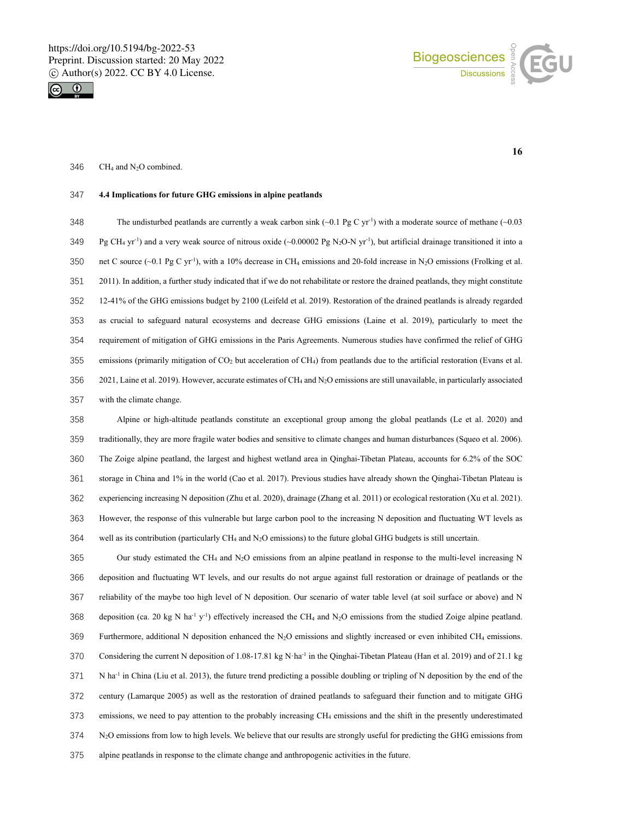



#### 346 CH<sub>4</sub> and  $N_2O$  combined.

# **4.4 Implications for future GHG emissions in alpine peatlands**

348 The undisturbed peatlands are currently a weak carbon sink  $(\sim 0.1 \text{ pg C yr}^{-1})$  with a moderate source of methane  $(\sim 0.03$ 349 Pg CH<sub>4</sub> yr<sup>-1</sup>) and a very weak source of nitrous oxide (~0.00002 Pg N<sub>2</sub>O-N yr<sup>-1</sup>), but artificial drainage transitioned it into a 350 net C source (~0.1 Pg C yr<sup>-1</sup>), with a 10% decrease in CH<sub>4</sub> emissions and 20-fold increase in N<sub>2</sub>O emissions (Frolking et al. 2011). In addition, a further study indicated that if we do not rehabilitate or restore the drained peatlands, they might constitute 12-41% of the GHG emissions budget by 2100 (Leifeld et al. 2019). Restoration of the drained peatlands is already regarded as crucial to safeguard natural ecosystems and decrease GHG emissions (Laine et al. 2019), particularly to meet the requirement of mitigation of GHG emissions in the Paris Agreements. Numerous studies have confirmed the relief of GHG 355 emissions (primarily mitigation of  $CO<sub>2</sub>$  but acceleration of  $CH<sub>4</sub>$ ) from peatlands due to the artificial restoration (Evans et al. 356 2021, Laine et al. 2019). However, accurate estimates of CH<sub>4</sub> and N<sub>2</sub>O emissions are still unavailable, in particularly associated with the climate change.

Alpine or high-altitude peatlands constitute an exceptional group among the global peatlands (Le et al. 2020) and traditionally, they are more fragile water bodies and sensitive to climate changes and human disturbances (Squeo et al. 2006). The Zoige alpine peatland, the largest and highest wetland area in Qinghai-Tibetan Plateau, accounts for 6.2% of the SOC storage in China and 1% in the world (Cao et al. 2017). Previous studies have already shown the Qinghai-Tibetan Plateau is experiencing increasing N deposition (Zhu et al. 2020), drainage (Zhang et al. 2011) or ecological restoration (Xu et al. 2021). However, the response of this vulnerable but large carbon pool to the increasing N deposition and fluctuating WT levels as well as its contribution (particularly CH<sub>4</sub> and N<sub>2</sub>O emissions) to the future global GHG budgets is still uncertain.

Our study estimated the CH4 and N2O emissions from an alpine peatland in response to the multi-level increasing N deposition and fluctuating WT levels, and our results do not argue against full restoration or drainage of peatlands or the reliability of the maybe too high level of N deposition. Our scenario of water table level (at soil surface or above) and N 368 deposition (ca. 20 kg N ha<sup>-1</sup> y<sup>-1</sup>) effectively increased the CH<sub>4</sub> and N<sub>2</sub>O emissions from the studied Zoige alpine peatland. Furthermore, additional N deposition enhanced the N2O emissions and slightly increased or even inhibited CH4 emissions. 370 Considering the current N deposition of 1.08-17.81 kg N·ha<sup>-1</sup> in the Qinghai-Tibetan Plateau (Han et al. 2019) and of 21.1 kg 371 N ha<sup>-1</sup> in China (Liu et al. 2013), the future trend predicting a possible doubling or tripling of N deposition by the end of the century (Lamarque 2005) as well as the restoration of drained peatlands to safeguard their function and to mitigate GHG emissions, we need to pay attention to the probably increasing CH4 emissions and the shift in the presently underestimated N2O emissions from low to high levels. We believe that our results are strongly useful for predicting the GHG emissions from alpine peatlands in response to the climate change and anthropogenic activities in the future.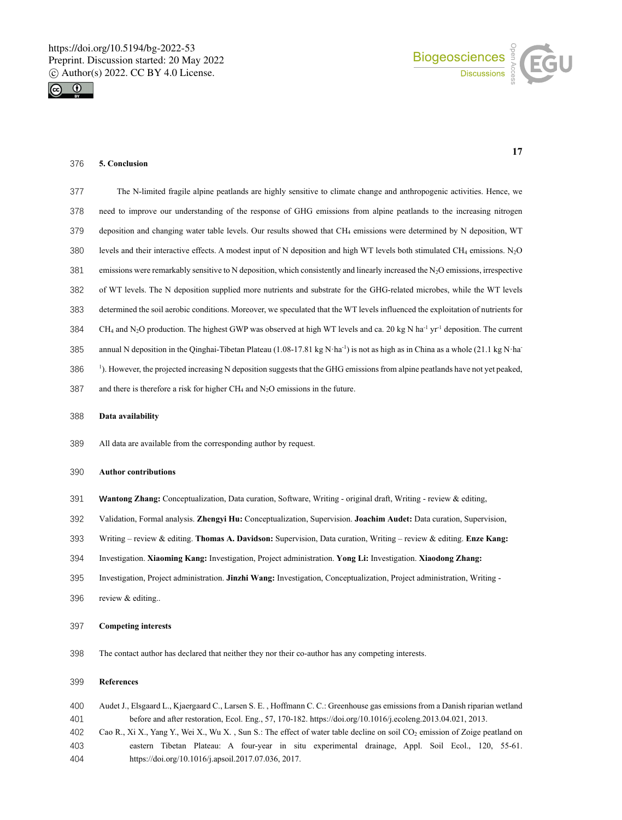



#### **5. Conclusion**

- The N-limited fragile alpine peatlands are highly sensitive to climate change and anthropogenic activities. Hence, we need to improve our understanding of the response of GHG emissions from alpine peatlands to the increasing nitrogen deposition and changing water table levels. Our results showed that CH4 emissions were determined by N deposition, WT levels and their interactive effects. A modest input of N deposition and high WT levels both stimulated CH4 emissions. N2O 381 emissions were remarkably sensitive to N deposition, which consistently and linearly increased the N<sub>2</sub>O emissions, irrespective of WT levels. The N deposition supplied more nutrients and substrate for the GHG-related microbes, while the WT levels determined the soil aerobic conditions. Moreover, we speculated that the WT levels influenced the exploitation of nutrients for 384 CH<sub>4</sub> and N<sub>2</sub>O production. The highest GWP was observed at high WT levels and ca. 20 kg N ha<sup>-1</sup> yr<sup>-1</sup> deposition. The current 385 annual N deposition in the Qinghai-Tibetan Plateau (1.08-17.81 kg N·ha<sup>-1</sup>) is not as high as in China as a whole (21.1 kg N·ha<sup>-</sup>
- 386 <sup>1</sup>). However, the projected increasing N deposition suggests that the GHG emissions from alpine peatlands have not yet peaked,
- 387 and there is therefore a risk for higher  $CH_4$  and  $N_2O$  emissions in the future.

#### **Data availability**

All data are available from the corresponding author by request.

#### **Author contributions**

- **Wantong Zhang:** Conceptualization, Data curation, Software, Writing original draft, Writing review & editing,
- Validation, Formal analysis. **Zhengyi Hu:** Conceptualization, Supervision. **Joachim Audet:** Data curation, Supervision,
- Writing review & editing. **Thomas A. Davidson:** Supervision, Data curation, Writing review & editing. **Enze Kang:**
- Investigation. **Xiaoming Kang:** Investigation, Project administration. **Yong Li:** Investigation. **Xiaodong Zhang:**
- Investigation, Project administration. **Jinzhi Wang:** Investigation, Conceptualization, Project administration, Writing -
- review & editing..

# **Competing interests**

The contact author has declared that neither they nor their co-author has any competing interests.

#### **References**

- Audet J., Elsgaard L., Kjaergaard C., Larsen S. E. , Hoffmann C. C.: Greenhouse gas emissions from a Danish riparian wetland before and after restoration, Ecol. Eng., 57, 170-182. https://doi.org/10.1016/j.ecoleng.2013.04.021, 2013.
- 402 Cao R., Xi X., Yang Y., Wei X., Wu X., Sun S.: The effect of water table decline on soil  $CO_2$  emission of Zoige peatland on eastern Tibetan Plateau: A four-year in situ experimental drainage, Appl. Soil Ecol., 120, 55-61. https://doi.org/10.1016/j.apsoil.2017.07.036, 2017.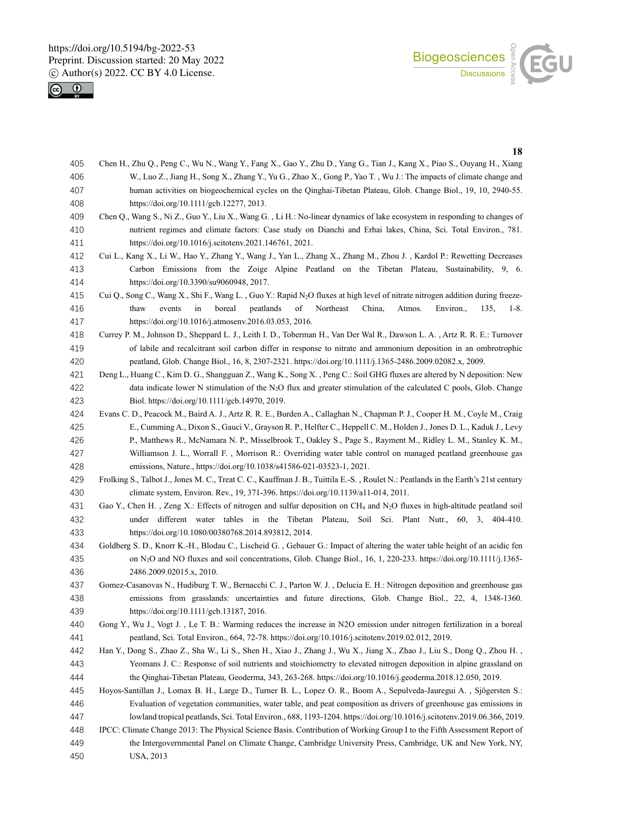



- Chen H., Zhu Q., Peng C., Wu N., Wang Y., Fang X., Gao Y., Zhu D., Yang G., Tian J., Kang X., Piao S., Ouyang H., Xiang W., Luo Z., Jiang H., Song X., Zhang Y., Yu G., Zhao X., Gong P., Yao T. , Wu J.: The impacts of climate change and human activities on biogeochemical cycles on the Qinghai-Tibetan Plateau, Glob. Change Biol., 19, 10, 2940-55. https://doi.org/10.1111/gcb.12277, 2013.
- Chen Q., Wang S., Ni Z., Guo Y., Liu X., Wang G. , Li H.: No-linear dynamics of lake ecosystem in responding to changes of nutrient regimes and climate factors: Case study on Dianchi and Erhai lakes, China, Sci. Total Environ., 781. https://doi.org/10.1016/j.scitotenv.2021.146761, 2021.
- Cui L., Kang X., Li W., Hao Y., Zhang Y., Wang J., Yan L., Zhang X., Zhang M., Zhou J. , Kardol P.: Rewetting Decreases Carbon Emissions from the Zoige Alpine Peatland on the Tibetan Plateau, Sustainability, 9, 6. https://doi.org/10.3390/su9060948, 2017.
- Cui Q., Song C., Wang X., Shi F., Wang L. , Guo Y.: Rapid N2O fluxes at high level of nitrate nitrogen addition during freeze-thaw events in boreal peatlands of Northeast China, Atmos. Environ., 135, 1-8. https://doi.org/10.1016/j.atmosenv.2016.03.053, 2016.
- Currey P. M., Johnson D., Sheppard L. J., Leith I. D., Toberman H., Van Der Wal R., Dawson L. A. , Artz R. R. E.: Turnover of labile and recalcitrant soil carbon differ in response to nitrate and ammonium deposition in an ombrotrophic peatland, Glob. Change Biol., 16, 8, 2307-2321. https://doi.org/10.1111/j.1365-2486.2009.02082.x, 2009.
- Deng L., Huang C., Kim D. G., Shangguan Z., Wang K., Song X. , Peng C.: Soil GHG fluxes are altered by N deposition: New data indicate lower N stimulation of the N2O flux and greater stimulation of the calculated C pools, Glob. Change Biol. https://doi.org/10.1111/gcb.14970, 2019.
- Evans C. D., Peacock M., Baird A. J., Artz R. R. E., Burden A., Callaghan N., Chapman P. J., Cooper H. M., Coyle M., Craig E., Cumming A., Dixon S., Gauci V., Grayson R. P., Helfter C., Heppell C. M., Holden J., Jones D. L., Kaduk J., Levy P., Matthews R., McNamara N. P., Misselbrook T., Oakley S., Page S., Rayment M., Ridley L. M., Stanley K. M., Williamson J. L., Worrall F. , Morrison R.: Overriding water table control on managed peatland greenhouse gas emissions, Nature., https://doi.org/10.1038/s41586-021-03523-1, 2021.
- Frolking S., Talbot J., Jones M. C., Treat C. C., Kauffman J. B., Tuittila E.-S. , Roulet N.: Peatlands in the Earth's 21st century climate system, Environ. Rev., 19, 371-396. https://doi.org/10.1139/a11-014, 2011.
- Gao Y., Chen H. , Zeng X.: Effects of nitrogen and sulfur deposition on CH4 and N2O fluxes in high-altitude peatland soil under different water tables in the Tibetan Plateau, Soil Sci. Plant Nutr., 60, 3, 404-410. https://doi.org/10.1080/00380768.2014.893812, 2014.
- Goldberg S. D., Knorr K.-H., Blodau C., Lischeid G. , Gebauer G.: Impact of altering the water table height of an acidic fen on N2O and NO fluxes and soil concentrations, Glob. Change Biol., 16, 1, 220-233. https://doi.org/10.1111/j.1365- 2486.2009.02015.x, 2010.
- Gomez-Casanovas N., Hudiburg T. W., Bernacchi C. J., Parton W. J. , Delucia E. H.: Nitrogen deposition and greenhouse gas emissions from grasslands: uncertainties and future directions, Glob. Change Biol., 22, 4, 1348-1360. https://doi.org/10.1111/gcb.13187, 2016.
- Gong Y., Wu J., Vogt J. , Le T. B.: Warming reduces the increase in N2O emission under nitrogen fertilization in a boreal peatland, Sci. Total Environ., 664, 72-78. https://doi.org/10.1016/j.scitotenv.2019.02.012, 2019.
- Han Y., Dong S., Zhao Z., Sha W., Li S., Shen H., Xiao J., Zhang J., Wu X., Jiang X., Zhao J., Liu S., Dong Q., Zhou H. , Yeomans J. C.: Response of soil nutrients and stoichiometry to elevated nitrogen deposition in alpine grassland on the Qinghai-Tibetan Plateau, Geoderma, 343, 263-268. https://doi.org/10.1016/j.geoderma.2018.12.050, 2019.
- Hoyos-Santillan J., Lomax B. H., Large D., Turner B. L., Lopez O. R., Boom A., Sepulveda-Jauregui A. , Sjögersten S.: Evaluation of vegetation communities, water table, and peat composition as drivers of greenhouse gas emissions in lowland tropical peatlands, Sci. Total Environ., 688, 1193-1204. https://doi.org/10.1016/j.scitotenv.2019.06.366, 2019.
- IPCC: Climate Change 2013: The Physical Science Basis. Contribution of Working Group I to the Fifth Assessment Report of the Intergovernmental Panel on Climate Change, Cambridge University Press, Cambridge, UK and New York, NY,
- USA, 2013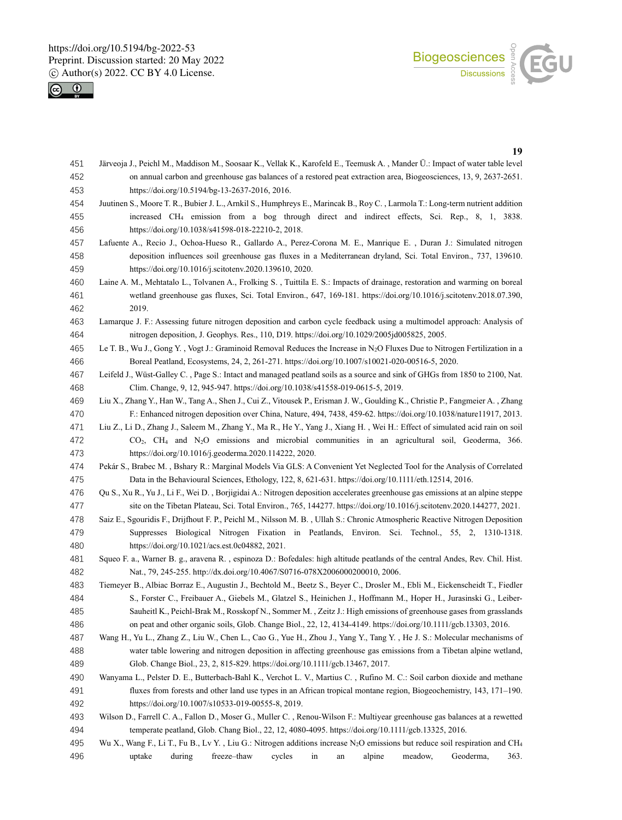



- Järveoja J., Peichl M., Maddison M., Soosaar K., Vellak K., Karofeld E., Teemusk A. , Mander Ü.: Impact of water table level on annual carbon and greenhouse gas balances of a restored peat extraction area, Biogeosciences, 13, 9, 2637-2651. https://doi.org/10.5194/bg-13-2637-2016, 2016.
- Juutinen S., Moore T. R., Bubier J. L., Arnkil S., Humphreys E., Marincak B., Roy C. , Larmola T.: Long-term nutrient addition increased CH4 emission from a bog through direct and indirect effects, Sci. Rep., 8, 1, 3838. https://doi.org/10.1038/s41598-018-22210-2, 2018.
- Lafuente A., Recio J., Ochoa-Hueso R., Gallardo A., Perez-Corona M. E., Manrique E. , Duran J.: Simulated nitrogen deposition influences soil greenhouse gas fluxes in a Mediterranean dryland, Sci. Total Environ., 737, 139610. https://doi.org/10.1016/j.scitotenv.2020.139610, 2020.
- Laine A. M., Mehtatalo L., Tolvanen A., Frolking S. , Tuittila E. S.: Impacts of drainage, restoration and warming on boreal wetland greenhouse gas fluxes, Sci. Total Environ., 647, 169-181. https://doi.org/10.1016/j.scitotenv.2018.07.390, 2019.
- Lamarque J. F.: Assessing future nitrogen deposition and carbon cycle feedback using a multimodel approach: Analysis of nitrogen deposition, J. Geophys. Res., 110, D19. https://doi.org/10.1029/2005jd005825, 2005.
- Le T. B., Wu J., Gong Y. , Vogt J.: Graminoid Removal Reduces the Increase in N2O Fluxes Due to Nitrogen Fertilization in a Boreal Peatland, Ecosystems, 24, 2, 261-271. https://doi.org/10.1007/s10021-020-00516-5, 2020.

Leifeld J., Wüst-Galley C. , Page S.: Intact and managed peatland soils as a source and sink of GHGs from 1850 to 2100, Nat. Clim. Change, 9, 12, 945-947. https://doi.org/10.1038/s41558-019-0615-5, 2019.

Liu X., Zhang Y., Han W., Tang A., Shen J., Cui Z., Vitousek P., Erisman J. W., Goulding K., Christie P., Fangmeier A. , Zhang F.: Enhanced nitrogen deposition over China, Nature, 494, 7438, 459-62. https://doi.org/10.1038/nature11917, 2013.

- Liu Z., Li D., Zhang J., Saleem M., Zhang Y., Ma R., He Y., Yang J., Xiang H. , Wei H.: Effect of simulated acid rain on soil CO2, CH4 and N2O emissions and microbial communities in an agricultural soil, Geoderma, 366. https://doi.org/10.1016/j.geoderma.2020.114222, 2020.
- Pekár S., Brabec M. , Bshary R.: Marginal Models Via GLS: A Convenient Yet Neglected Tool for the Analysis of Correlated Data in the Behavioural Sciences, Ethology, 122, 8, 621-631. https://doi.org/10.1111/eth.12514, 2016.
- Qu S., Xu R., Yu J., Li F., Wei D. , Borjigidai A.: Nitrogen deposition accelerates greenhouse gas emissions at an alpine steppe site on the Tibetan Plateau, Sci. Total Environ., 765, 144277. https://doi.org/10.1016/j.scitotenv.2020.144277, 2021.
- Saiz E., Sgouridis F., Drijfhout F. P., Peichl M., Nilsson M. B. , Ullah S.: Chronic Atmospheric Reactive Nitrogen Deposition Suppresses Biological Nitrogen Fixation in Peatlands, Environ. Sci. Technol., 55, 2, 1310-1318. https://doi.org/10.1021/acs.est.0c04882, 2021.
- Squeo F. a., Warner B. g., aravena R. , espinoza D.: Bofedales: high altitude peatlands of the central Andes, Rev. Chil. Hist. Nat., 79, 245-255. http://dx.doi.org/10.4067/S0716-078X2006000200010, 2006.
- Tiemeyer B., Albiac Borraz E., Augustin J., Bechtold M., Beetz S., Beyer C., Drosler M., Ebli M., Eickenscheidt T., Fiedler S., Forster C., Freibauer A., Giebels M., Glatzel S., Heinichen J., Hoffmann M., Hoper H., Jurasinski G., Leiber-Sauheitl K., Peichl-Brak M., Rosskopf N., Sommer M. , Zeitz J.: High emissions of greenhouse gases from grasslands on peat and other organic soils, Glob. Change Biol., 22, 12, 4134-4149. https://doi.org/10.1111/gcb.13303, 2016.
- Wang H., Yu L., Zhang Z., Liu W., Chen L., Cao G., Yue H., Zhou J., Yang Y., Tang Y. , He J. S.: Molecular mechanisms of water table lowering and nitrogen deposition in affecting greenhouse gas emissions from a Tibetan alpine wetland, Glob. Change Biol., 23, 2, 815-829. https://doi.org/10.1111/gcb.13467, 2017.
- Wanyama L., Pelster D. E., Butterbach-Bahl K., Verchot L. V., Martius C. , Rufino M. C.: Soil carbon dioxide and methane fluxes from forests and other land use types in an African tropical montane region, Biogeochemistry, 143, 171–190. https://doi.org/10.1007/s10533-019-00555-8, 2019.
- Wilson D., Farrell C. A., Fallon D., Moser G., Muller C. , Renou-Wilson F.: Multiyear greenhouse gas balances at a rewetted temperate peatland, Glob. Chang Biol., 22, 12, 4080-4095. https://doi.org/10.1111/gcb.13325, 2016.
- Wu X., Wang F., Li T., Fu B., Lv Y. , Liu G.: Nitrogen additions increase N2O emissions but reduce soil respiration and CH4 uptake during freeze–thaw cycles in an alpine meadow, Geoderma, 363.